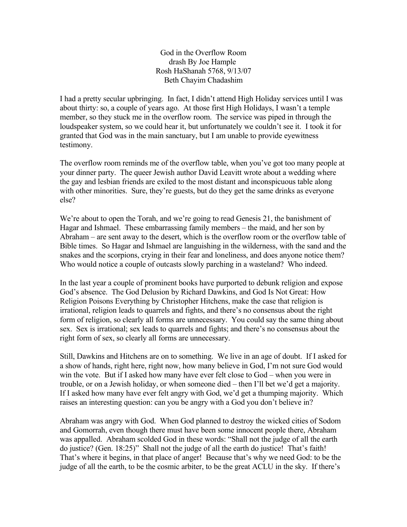God in the Overflow Room drash By Joe Hample Rosh HaShanah 5768, 9/13/07 Beth Chayim Chadashim

I had a pretty secular upbringing. In fact, I didn't attend High Holiday services until I was about thirty: so, a couple of years ago. At those first High Holidays, I wasn't a temple member, so they stuck me in the overflow room. The service was piped in through the loudspeaker system, so we could hear it, but unfortunately we couldn't see it. I took it for granted that God was in the main sanctuary, but I am unable to provide eyewitness testimony.

The overflow room reminds me of the overflow table, when you've got too many people at your dinner party. The queer Jewish author David Leavitt wrote about a wedding where the gay and lesbian friends are exiled to the most distant and inconspicuous table along with other minorities. Sure, they're guests, but do they get the same drinks as everyone else?

We're about to open the Torah, and we're going to read Genesis 21, the banishment of Hagar and Ishmael. These embarrassing family members – the maid, and her son by Abraham – are sent away to the desert, which is the overflow room or the overflow table of Bible times. So Hagar and Ishmael are languishing in the wilderness, with the sand and the snakes and the scorpions, crying in their fear and loneliness, and does anyone notice them? Who would notice a couple of outcasts slowly parching in a wasteland? Who indeed.

In the last year a couple of prominent books have purported to debunk religion and expose God's absence. The God Delusion by Richard Dawkins, and God Is Not Great: How Religion Poisons Everything by Christopher Hitchens, make the case that religion is irrational, religion leads to quarrels and fights, and there's no consensus about the right form of religion, so clearly all forms are unnecessary. You could say the same thing about sex. Sex is irrational; sex leads to quarrels and fights; and there's no consensus about the right form of sex, so clearly all forms are unnecessary.

Still, Dawkins and Hitchens are on to something. We live in an age of doubt. If I asked for a show of hands, right here, right now, how many believe in God, I'm not sure God would win the vote. But if I asked how many have ever felt close to God – when you were in trouble, or on a Jewish holiday, or when someone died – then I'll bet we'd get a majority. If I asked how many have ever felt angry with God, we'd get a thumping majority. Which raises an interesting question: can you be angry with a God you don't believe in?

Abraham was angry with God. When God planned to destroy the wicked cities of Sodom and Gomorrah, even though there must have been some innocent people there, Abraham was appalled. Abraham scolded God in these words: "Shall not the judge of all the earth do justice? (Gen. 18:25)" Shall not the judge of all the earth do justice! That's faith! That's where it begins, in that place of anger! Because that's why we need God: to be the judge of all the earth, to be the cosmic arbiter, to be the great ACLU in the sky. If there's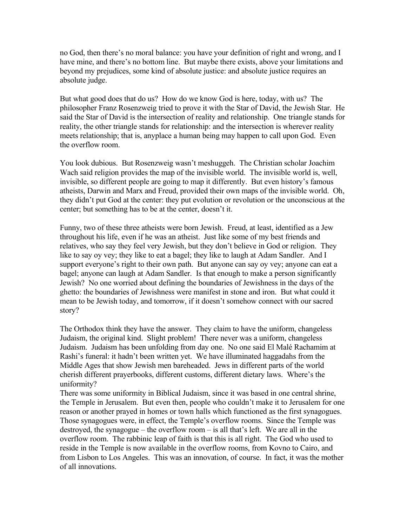no God, then there's no moral balance: you have your definition of right and wrong, and I have mine, and there's no bottom line. But maybe there exists, above your limitations and beyond my prejudices, some kind of absolute justice: and absolute justice requires an absolute judge.

But what good does that do us? How do we know God is here, today, with us? The philosopher Franz Rosenzweig tried to prove it with the Star of David, the Jewish Star. He said the Star of David is the intersection of reality and relationship. One triangle stands for reality, the other triangle stands for relationship: and the intersection is wherever reality meets relationship; that is, anyplace a human being may happen to call upon God. Even the overflow room.

You look dubious. But Rosenzweig wasn't meshuggeh. The Christian scholar Joachim Wach said religion provides the map of the invisible world. The invisible world is, well, invisible, so different people are going to map it differently. But even history's famous atheists, Darwin and Marx and Freud, provided their own maps of the invisible world. Oh, they didn't put God at the center: they put evolution or revolution or the unconscious at the center; but something has to be at the center, doesn't it.

Funny, two of these three atheists were born Jewish. Freud, at least, identified as a Jew throughout his life, even if he was an atheist. Just like some of my best friends and relatives, who say they feel very Jewish, but they don't believe in God or religion. They like to say oy vey; they like to eat a bagel; they like to laugh at Adam Sandler. And I support everyone's right to their own path. But anyone can say oy vey; anyone can eat a bagel; anyone can laugh at Adam Sandler. Is that enough to make a person significantly Jewish? No one worried about defining the boundaries of Jewishness in the days of the ghetto: the boundaries of Jewishness were manifest in stone and iron. But what could it mean to be Jewish today, and tomorrow, if it doesn't somehow connect with our sacred story?

The Orthodox think they have the answer. They claim to have the uniform, changeless Judaism, the original kind. Slight problem! There never was a uniform, changeless Judaism. Judaism has been unfolding from day one. No one said El Malé Rachamim at Rashi's funeral: it hadn't been written yet. We have illuminated haggadahs from the Middle Ages that show Jewish men bareheaded. Jews in different parts of the world cherish different prayerbooks, different customs, different dietary laws. Where's the uniformity?

There was some uniformity in Biblical Judaism, since it was based in one central shrine, the Temple in Jerusalem. But even then, people who couldn't make it to Jerusalem for one reason or another prayed in homes or town halls which functioned as the first synagogues. Those synagogues were, in effect, the Temple's overflow rooms. Since the Temple was destroyed, the synagogue – the overflow room – is all that's left. We are all in the overflow room. The rabbinic leap of faith is that this is all right. The God who used to reside in the Temple is now available in the overflow rooms, from Kovno to Cairo, and from Lisbon to Los Angeles. This was an innovation, of course. In fact, it was the mother of all innovations.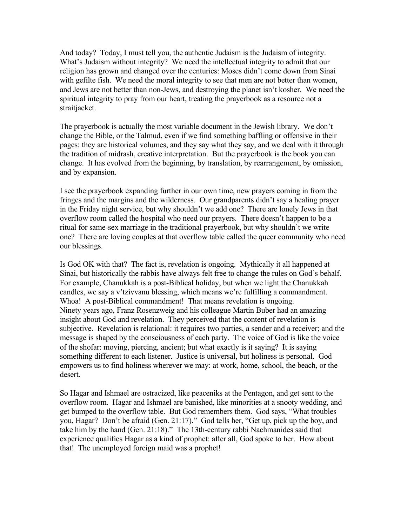And today? Today, I must tell you, the authentic Judaism is the Judaism of integrity. What's Judaism without integrity? We need the intellectual integrity to admit that our religion has grown and changed over the centuries: Moses didn't come down from Sinai with gefilte fish. We need the moral integrity to see that men are not better than women, and Jews are not better than non-Jews, and destroying the planet isn't kosher. We need the spiritual integrity to pray from our heart, treating the prayerbook as a resource not a straitjacket.

The prayerbook is actually the most variable document in the Jewish library. We don't change the Bible, or the Talmud, even if we find something baffling or offensive in their pages: they are historical volumes, and they say what they say, and we deal with it through the tradition of midrash, creative interpretation. But the prayerbook is the book you can change. It has evolved from the beginning, by translation, by rearrangement, by omission, and by expansion.

I see the prayerbook expanding further in our own time, new prayers coming in from the fringes and the margins and the wilderness. Our grandparents didn't say a healing prayer in the Friday night service, but why shouldn't we add one? There are lonely Jews in that overflow room called the hospital who need our prayers. There doesn't happen to be a ritual for same-sex marriage in the traditional prayerbook, but why shouldn't we write one? There are loving couples at that overflow table called the queer community who need our blessings.

Is God OK with that? The fact is, revelation is ongoing. Mythically it all happened at Sinai, but historically the rabbis have always felt free to change the rules on God's behalf. For example, Chanukkah is a post-Biblical holiday, but when we light the Chanukkah candles, we say a v'tzivvanu blessing, which means we're fulfilling a commandment. Whoa! A post-Biblical commandment! That means revelation is ongoing. Ninety years ago, Franz Rosenzweig and his colleague Martin Buber had an amazing insight about God and revelation. They perceived that the content of revelation is subjective. Revelation is relational: it requires two parties, a sender and a receiver; and the message is shaped by the consciousness of each party. The voice of God is like the voice of the shofar: moving, piercing, ancient; but what exactly is it saying? It is saying something different to each listener. Justice is universal, but holiness is personal. God empowers us to find holiness wherever we may: at work, home, school, the beach, or the desert.

So Hagar and Ishmael are ostracized, like peaceniks at the Pentagon, and get sent to the overflow room. Hagar and Ishmael are banished, like minorities at a snooty wedding, and get bumped to the overflow table. But God remembers them. God says, "What troubles you, Hagar? Don't be afraid (Gen. 21:17)." God tells her, "Get up, pick up the boy, and take him by the hand (Gen. 21:18)." The 13th-century rabbi Nachmanides said that experience qualifies Hagar as a kind of prophet: after all, God spoke to her. How about that! The unemployed foreign maid was a prophet!